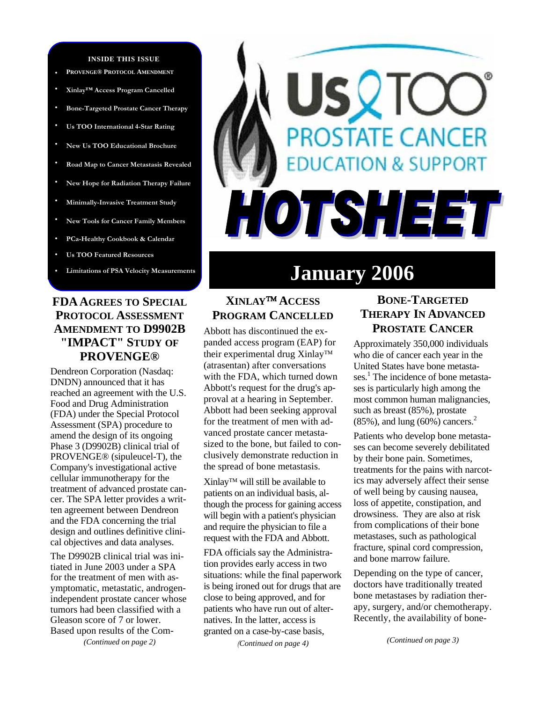#### **INSIDE THIS ISSUE**

- **PROVENGE® PROTOCOL AMENDMENT**
- **• Xinlay™ Access Program Cancelled**
- **• Bone-Targeted Prostate Cancer Therapy**
- **• Us TOO International 4-Star Rating**
- **• New Us TOO Educational Brochure**
- **• Road Map to Cancer Metastasis Revealed**
- **• New Hope for Radiation Therapy Failure**
- **• Minimally-Invasive Treatment Study**
- **• New Tools for Cancer Family Members**
- **• PCa-Healthy Cookbook & Calendar**
- **• Us TOO Featured Resources**
- **• Limitations of PSA Velocity Measurements**

#### **FDA AGREES TO SPECIAL PROTOCOL ASSESSMENT AMENDMENT TO D9902B "IMPACT" STUDY OF PROVENGE®**

Dendreon Corporation (Nasdaq: DNDN) announced that it has reached an agreement with the U.S. Food and Drug Administration (FDA) under the Special Protocol Assessment (SPA) procedure to amend the design of its ongoing Phase 3 (D9902B) clinical trial of PROVENGE® (sipuleucel-T), the Company's investigational active cellular immunotherapy for the treatment of advanced prostate cancer. The SPA letter provides a written agreement between Dendreon and the FDA concerning the trial design and outlines definitive clinical objectives and data analyses.

The D9902B clinical trial was initiated in June 2003 under a SPA for the treatment of men with asymptomatic, metastatic, androgenindependent prostate cancer whose tumors had been classified with a Gleason score of 7 or lower. Based upon results of the Com- *(Continued on page 2)* 

# SQTO PROSTATE CANCER **EDUCATION & SUPPORT** HOTSHEET

## **January 2006**

## **XINLAY**™ **ACCESS PROGRAM CANCELLED**

Abbott has discontinued the expanded access program (EAP) for their experimental drug Xinlay™ (atrasentan) after conversations with the FDA, which turned down Abbott's request for the drug's approval at a hearing in September. Abbott had been seeking approval for the treatment of men with advanced prostate cancer metastasized to the bone, but failed to conclusively demonstrate reduction in the spread of bone metastasis.

Xinlay™ will still be available to patients on an individual basis, although the process for gaining access will begin with a patient's physician and require the physician to file a request with the FDA and Abbott.

FDA officials say the Administration provides early access in two situations: while the final paperwork is being ironed out for drugs that are close to being approved, and for patients who have run out of alternatives. In the latter, access is granted on a case-by-case basis,

*(Continued on page 4)* 

## **BONE-TARGETED THERAPY IN ADVANCED PROSTATE CANCER**

Approximately 350,000 individuals who die of cancer each year in the United States have bone metastases.<sup>1</sup> The incidence of bone metastases is particularly high among the most common human malignancies, such as breast (85%), prostate  $(85\%)$ , and lung  $(60\%)$  cancers.<sup>2</sup>

Patients who develop bone metastases can become severely debilitated by their bone pain. Sometimes, treatments for the pains with narcotics may adversely affect their sense of well being by causing nausea, loss of appetite, constipation, and drowsiness. They are also at risk from complications of their bone metastases, such as pathological fracture, spinal cord compression, and bone marrow failure.

Depending on the type of cancer, doctors have traditionally treated bone metastases by radiation therapy, surgery, and/or chemotherapy. Recently, the availability of bone-

*(Continued on page 3)*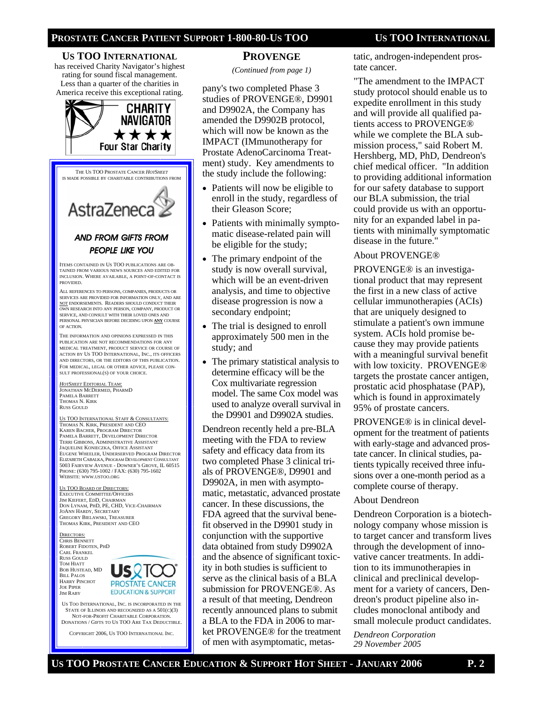#### **US TOO INTERNATIONAL**

has received Charity Navigator's highest rating for sound fiscal management. Less than a quarter of the charities in America receive this exceptional rating.



THE US TOO PROSTATE CANCER *HOTSHEET* IS MADE POSSIBLE BY CHARITABLE CONTRIBUTIONS FROM AstraZeneca

#### *AND FROM GIFTS FROM PEOPLE LIKE YOU*

ITEMS CONTAINED IN US TOO PUBLICATIONS ARE OB-TAINED FROM VARIOUS NEWS SOURCES AND EDITED FOR INCLUSION. WHERE AVAILABLE, A POINT-OF-CONTACT IS PROVIDED.

ALL REFERENCES TO PERSONS, COMPANIES, PRODUCTS OR SERVICES ARE PROVIDED FOR INFORMATION ONLY, AND ARE NOT ENDORSEMENTS. READERS SHOULD CONDUCT THEIR OWN RESEARCH INTO ANY PERSON, COMPANY, PRODUCT OR SERVICE, AND CONSULT WITH THEIR LOVED ONES AND PERSONAL PHYSICIAN BEFORE DECIDING UPON **ANY** COURSE OF ACTION.

THE INFORMATION AND OPINIONS EXPRESSED IN THIS PUBLICATION ARE NOT RECOMMENDATIONS FOR ANY MEDICAL TREATMENT, PRODUCT SERVICE OR COURSE OF ACTION BY US TOO INTERNATIONAL, INC., ITS OFFICERS AND DIRECTORS, OR THE EDITORS OF THIS PUBLICATION. FOR MEDICAL, LEGAL OR OTHER ADVICE, PLEASE CON-SULT PROFESSIONAL(S) OF YOUR CHOICE.

*HOTSHEET* EDITORIAL TEAM: JONATHAN MCDERMED, PHARMD PAMELA BARRETT THOMAS N. KIRK RUSS GOULD

TOO INTERNATIONAL STAFF & CONSULTANTS: THOMAS N. KIRK, PRESIDENT AND CEO KAREN BACHER, PROGRAM DIRECTOR PAMELA BARRETT, DEVELOPMENT DIRECTOR TERRI GIBBONS, ADMINISTRATIVE ASSISTANT JAQUELINE KONIECZKA, OFFICE ASSISTANT EUGENE WHEELER, UNDERSERVED PROGRAM DIRECTOR ELIZABETH CABALKA, PROGRAM DEVELOPMENT CONSULTANT 5003 FAIRVIEW AVENUE - DOWNER'S GROVE, IL 60515 PHONE: (630) 795-1002 / FAX: (630) 795-1602 WEBSITE: WWW.USTOO.ORG

US TOO BOARD OF DIRECTORS: EXECUTIVE COMMITTEE/OFFICERS JIM KIEFERT, EDD, CHAIRMAN DON LYNAM, PHD, PE, CHD, VICE-CHAIRMAN JOANN HARDY, SECRETARY GREGORY BIELAWSKI, TREASURER THOMAS KIRK, PRESIDENT AND CEO

DIRECTORS: CHRIS BENNETT ROBERT FIDOTEN, PHD CARL FRANKEL RUSS GOULD TOM HIATT BOB HUSTEAD, MD BILL PALOS HARRY PINCHOT JOE PIPER JIM RABY



US TOO INTERNATIONAL, INC. IS INCORPORATED IN THE STATE OF ILLINOIS AND RECOGNIZED AS A 501(C)(3) NOT-FOR-PROFIT CHARITABLE CORPORATION. DONATIONS / GIFTS TO US TOO ARE TAX DEDUCTIBLE.

COPYRIGHT 2006, US TOO INTERNATIONAL INC.

#### **PROVENGE**

#### *(Continued from page 1)*

pany's two completed Phase 3 studies of PROVENGE®, D9901 and D9902A, the Company has amended the D9902B protocol, which will now be known as the IMPACT (IMmunotherapy for Prostate AdenoCarcinoma Treatment) study. Key amendments to the study include the following:

- Patients will now be eligible to enroll in the study, regardless of their Gleason Score;
- Patients with minimally symptomatic disease-related pain will be eligible for the study;
- The primary endpoint of the study is now overall survival, which will be an event-driven analysis, and time to objective disease progression is now a secondary endpoint;
- The trial is designed to enroll approximately 500 men in the study; and
- The primary statistical analysis to determine efficacy will be the Cox multivariate regression model. The same Cox model was used to analyze overall survival in the D9901 and D9902A studies.

Dendreon recently held a pre-BLA meeting with the FDA to review safety and efficacy data from its two completed Phase 3 clinical trials of PROVENGE®, D9901 and D9902A, in men with asymptomatic, metastatic, advanced prostate cancer. In these discussions, the FDA agreed that the survival benefit observed in the D9901 study in conjunction with the supportive data obtained from study D9902A and the absence of significant toxicity in both studies is sufficient to serve as the clinical basis of a BLA submission for PROVENGE®. As a result of that meeting, Dendreon recently announced plans to submit a BLA to the FDA in 2006 to market PROVENGE® for the treatment of men with asymptomatic, metastatic, androgen-independent prostate cancer.

"The amendment to the IMPACT study protocol should enable us to expedite enrollment in this study and will provide all qualified patients access to PROVENGE® while we complete the BLA submission process," said Robert M. Hershberg, MD, PhD, Dendreon's chief medical officer. "In addition to providing additional information for our safety database to support our BLA submission, the trial could provide us with an opportunity for an expanded label in patients with minimally symptomatic disease in the future."

#### About PROVENGE®

PROVENGE® is an investigational product that may represent the first in a new class of active cellular immunotherapies (ACIs) that are uniquely designed to stimulate a patient's own immune system. ACIs hold promise because they may provide patients with a meaningful survival benefit with low toxicity. PROVENGE® targets the prostate cancer antigen, prostatic acid phosphatase (PAP), which is found in approximately 95% of prostate cancers.

PROVENGE® is in clinical development for the treatment of patients with early-stage and advanced prostate cancer. In clinical studies, patients typically received three infusions over a one-month period as a complete course of therapy.

#### About Dendreon

Dendreon Corporation is a biotechnology company whose mission is to target cancer and transform lives through the development of innovative cancer treatments. In addition to its immunotherapies in clinical and preclinical development for a variety of cancers, Dendreon's product pipeline also includes monoclonal antibody and small molecule product candidates.

*Dendreon Corporation 29 November 2005*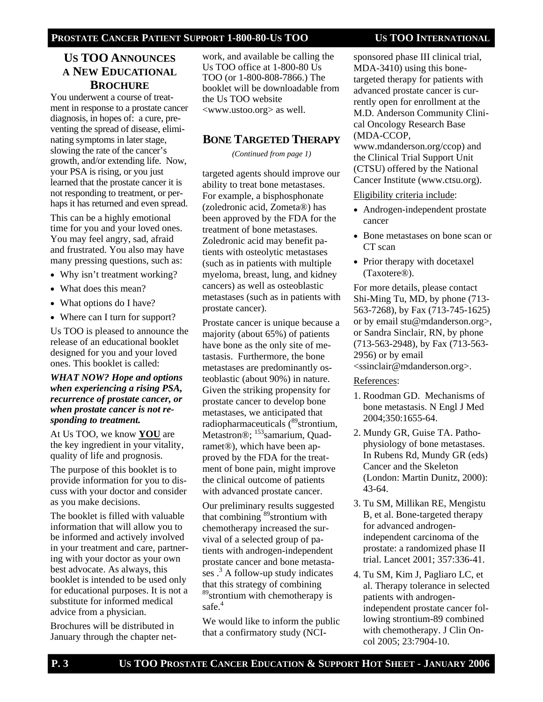#### **US TOO ANNOUNCES A NEW EDUCATIONAL BROCHURE**

You underwent a course of treatment in response to a prostate cancer diagnosis, in hopes of: a cure, preventing the spread of disease, eliminating symptoms in later stage, slowing the rate of the cancer's growth, and/or extending life. Now, your PSA is rising, or you just learned that the prostate cancer it is not responding to treatment, or perhaps it has returned and even spread.

This can be a highly emotional time for you and your loved ones. You may feel angry, sad, afraid and frustrated. You also may have many pressing questions, such as:

- Why isn't treatment working?
- What does this mean?
- What options do I have?
- Where can I turn for support?

Us TOO is pleased to announce the release of an educational booklet designed for you and your loved ones. This booklet is called:

#### *WHAT NOW? Hope and options when experiencing a rising PSA, recurrence of prostate cancer, or when prostate cancer is not responding to treatment.*

At Us TOO, we know **YOU** are the key ingredient in your vitality, quality of life and prognosis.

The purpose of this booklet is to provide information for you to discuss with your doctor and consider as you make decisions.

The booklet is filled with valuable information that will allow you to be informed and actively involved in your treatment and care, partnering with your doctor as your own best advocate. As always, this booklet is intended to be used only for educational purposes. It is not a substitute for informed medical advice from a physician.

Brochures will be distributed in January through the chapter network, and available be calling the Us TOO office at 1-800-80 Us TOO (or 1-800-808-7866.) The booklet will be downloadable from the Us TOO website <www.ustoo.org> as well.

#### **BONE TARGETED THERAPY**

*(Continued from page 1)* 

targeted agents should improve our ability to treat bone metastases. For example, a bisphosphonate (zoledronic acid, Zometa®) has been approved by the FDA for the treatment of bone metastases. Zoledronic acid may benefit patients with osteolytic metastases (such as in patients with multiple myeloma, breast, lung, and kidney cancers) as well as osteoblastic metastases (such as in patients with prostate cancer).

Prostate cancer is unique because a majority (about 65%) of patients have bone as the only site of metastasis. Furthermore, the bone metastases are predominantly osteoblastic (about 90%) in nature. Given the striking propensity for prostate cancer to develop bone metastases, we anticipated that radiopharmaceuticals (<sup>89</sup>strontium, Metastron®; <sup>153</sup>samarium, Quadramet®), which have been approved by the FDA for the treatment of bone pain, might improve the clinical outcome of patients with advanced prostate cancer.

Our preliminary results suggested that combining  $89$  strontium with chemotherapy increased the survival of a selected group of patients with androgen-independent prostate cancer and bone metastases  $\cdot$ <sup>3</sup> A follow-up study indicates that this strategy of combining <sup>89</sup>strontium with chemotherapy is safe.<sup>4</sup>

We would like to inform the public that a confirmatory study (NCI-

sponsored phase III clinical trial, MDA-3410) using this bonetargeted therapy for patients with advanced prostate cancer is currently open for enrollment at the M.D. Anderson Community Clinical Oncology Research Base (MDA-CCOP,

www.mdanderson.org/ccop) and the Clinical Trial Support Unit (CTSU) offered by the National Cancer Institute (www.ctsu.org).

Eligibility criteria include:

- Androgen-independent prostate cancer
- Bone metastases on bone scan or CT scan
- Prior therapy with docetaxel (Taxotere®).

For more details, please contact Shi-Ming Tu, MD, by phone (713- 563-7268), by Fax (713-745-1625) or by email stu@mdanderson.org>, or Sandra Sinclair, RN, by phone (713-563-2948), by Fax (713-563- 2956) or by email <ssinclair@mdanderson.org>.

#### References:

- 1. Roodman GD. Mechanisms of bone metastasis. N Engl J Med 2004;350:1655-64.
- 2. Mundy GR, Guise TA. Pathophysiology of bone metastases. In Rubens Rd, Mundy GR (eds) Cancer and the Skeleton (London: Martin Dunitz, 2000): 43-64.
- 3. Tu SM, Millikan RE, Mengistu B, et al. Bone-targeted therapy for advanced androgenindependent carcinoma of the prostate: a randomized phase II trial. Lancet 2001; 357:336-41.
- 4. Tu SM, Kim J, Pagliaro LC, et al. Therapy tolerance in selected patients with androgenindependent prostate cancer following strontium-89 combined with chemotherapy. J Clin Oncol 2005; 23:7904-10.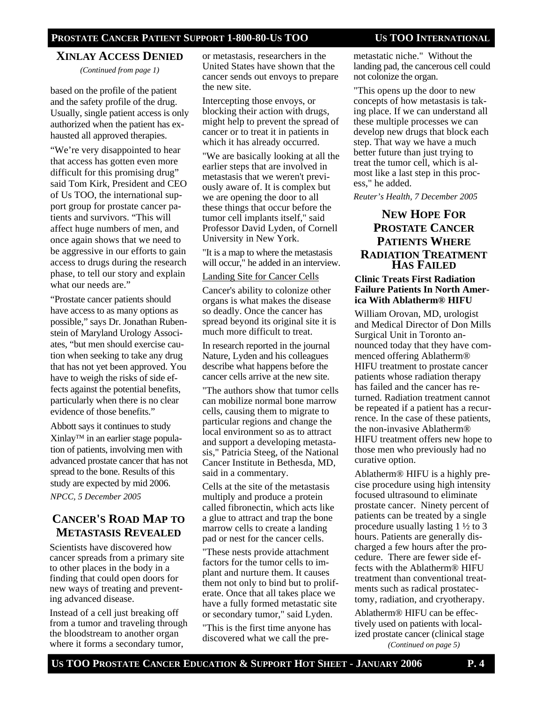#### **XINLAY ACCESS DENIED**

*(Continued from page 1)* 

based on the profile of the patient and the safety profile of the drug. Usually, single patient access is only authorized when the patient has exhausted all approved therapies.

"We're very disappointed to hear that access has gotten even more difficult for this promising drug" said Tom Kirk, President and CEO of Us TOO, the international support group for prostate cancer patients and survivors. "This will affect huge numbers of men, and once again shows that we need to be aggressive in our efforts to gain access to drugs during the research phase, to tell our story and explain what our needs are."

"Prostate cancer patients should have access to as many options as possible," says Dr. Jonathan Rubenstein of Maryland Urology Associates, "but men should exercise caution when seeking to take any drug that has not yet been approved. You have to weigh the risks of side effects against the potential benefits, particularly when there is no clear evidence of those benefits."

Abbott says it continues to study Xinlay™ in an earlier stage population of patients, involving men with advanced prostate cancer that has not spread to the bone. Results of this study are expected by mid 2006. *NPCC, 5 December 2005* 

#### **CANCER'S ROAD MAP TO METASTASIS REVEALED**

Scientists have discovered how cancer spreads from a primary site to other places in the body in a finding that could open doors for new ways of treating and preventing advanced disease.

Instead of a cell just breaking off from a tumor and traveling through the bloodstream to another organ where it forms a secondary tumor,

or metastasis, researchers in the United States have shown that the cancer sends out envoys to prepare the new site.

Intercepting those envoys, or blocking their action with drugs, might help to prevent the spread of cancer or to treat it in patients in which it has already occurred.

"We are basically looking at all the earlier steps that are involved in metastasis that we weren't previously aware of. It is complex but we are opening the door to all these things that occur before the tumor cell implants itself," said Professor David Lyden, of Cornell University in New York.

"It is a map to where the metastasis will occur," he added in an interview.

#### Landing Site for Cancer Cells

Cancer's ability to colonize other organs is what makes the disease so deadly. Once the cancer has spread beyond its original site it is much more difficult to treat.

In research reported in the journal Nature, Lyden and his colleagues describe what happens before the cancer cells arrive at the new site.

"The authors show that tumor cells can mobilize normal bone marrow cells, causing them to migrate to particular regions and change the local environment so as to attract and support a developing metastasis," Patricia Steeg, of the National Cancer Institute in Bethesda, MD, said in a commentary.

Cells at the site of the metastasis multiply and produce a protein called fibronectin, which acts like a glue to attract and trap the bone marrow cells to create a landing pad or nest for the cancer cells.

"These nests provide attachment factors for the tumor cells to implant and nurture them. It causes them not only to bind but to proliferate. Once that all takes place we have a fully formed metastatic site or secondary tumor," said Lyden.

"This is the first time anyone has discovered what we call the premetastatic niche." Without the landing pad, the cancerous cell could not colonize the organ.

"This opens up the door to new concepts of how metastasis is taking place. If we can understand all these multiple processes we can develop new drugs that block each step. That way we have a much better future than just trying to treat the tumor cell, which is almost like a last step in this process," he added.

*Reuter's Health, 7 December 2005* 

#### **NEW HOPE FOR PROSTATE CANCER PATIENTS WHERE RADIATION TREATMENT HAS FAILED**

#### **Clinic Treats First Radiation Failure Patients In North America With Ablatherm® HIFU**

William Orovan, MD, urologist and Medical Director of Don Mills Surgical Unit in Toronto announced today that they have commenced offering Ablatherm® HIFU treatment to prostate cancer patients whose radiation therapy has failed and the cancer has returned. Radiation treatment cannot be repeated if a patient has a recurrence. In the case of these patients, the non-invasive Ablatherm® HIFU treatment offers new hope to those men who previously had no curative option.

Ablatherm® HIFU is a highly precise procedure using high intensity focused ultrasound to eliminate prostate cancer. Ninety percent of patients can be treated by a single procedure usually lasting 1 ½ to 3 hours. Patients are generally discharged a few hours after the procedure. There are fewer side effects with the Ablatherm® HIFU treatment than conventional treatments such as radical prostatectomy, radiation, and cryotherapy.

Ablatherm® HIFU can be effectively used on patients with localized prostate cancer (clinical stage *(Continued on page 5)*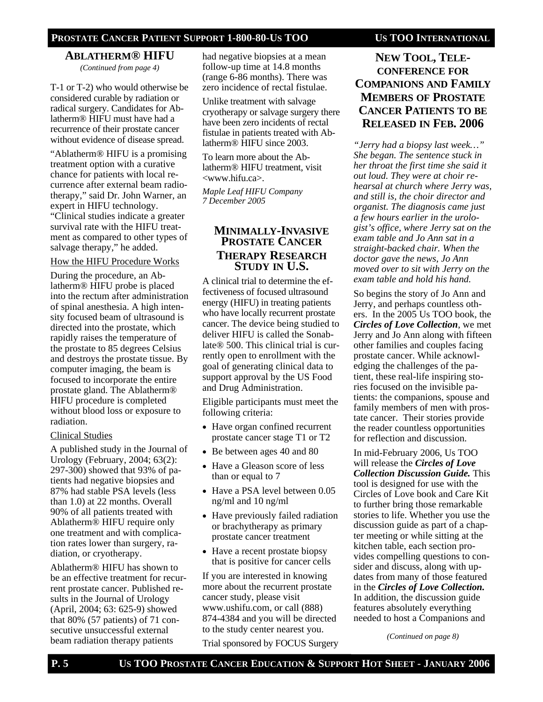**ABLATHERM® HIFU**  *(Continued from page 4)* 

T-1 or T-2) who would otherwise be considered curable by radiation or radical surgery. Candidates for Ablatherm® HIFU must have had a recurrence of their prostate cancer without evidence of disease spread.

"Ablatherm® HIFU is a promising treatment option with a curative chance for patients with local recurrence after external beam radiotherapy," said Dr. John Warner, an expert in HIFU technology. "Clinical studies indicate a greater survival rate with the HIFU treatment as compared to other types of salvage therapy," he added.

#### How the HIFU Procedure Works

During the procedure, an Ablatherm® HIFU probe is placed into the rectum after administration of spinal anesthesia. A high intensity focused beam of ultrasound is directed into the prostate, which rapidly raises the temperature of the prostate to 85 degrees Celsius and destroys the prostate tissue. By computer imaging, the beam is focused to incorporate the entire prostate gland. The Ablatherm® HIFU procedure is completed without blood loss or exposure to radiation.

#### Clinical Studies

A published study in the Journal of Urology (February, 2004; 63(2): 297-300) showed that 93% of patients had negative biopsies and 87% had stable PSA levels (less than 1.0) at 22 months. Overall 90% of all patients treated with Ablatherm® HIFU require only one treatment and with complication rates lower than surgery, radiation, or cryotherapy.

Ablatherm® HIFU has shown to be an effective treatment for recurrent prostate cancer. Published results in the Journal of Urology (April, 2004; 63: 625-9) showed that 80% (57 patients) of 71 consecutive unsuccessful external beam radiation therapy patients

had negative biopsies at a mean follow-up time at 14.8 months (range 6-86 months). There was zero incidence of rectal fistulae.

Unlike treatment with salvage cryotherapy or salvage surgery there have been zero incidents of rectal fistulae in patients treated with Ablatherm® HIFU since 2003.

To learn more about the Ablatherm® HIFU treatment, visit <www.hifu.ca>.

*Maple Leaf HIFU Company 7 December 2005* 

#### **MINIMALLY-INVASIVE PROSTATE CANCER THERAPY RESEARCH STUDY IN U.S.**

A clinical trial to determine the effectiveness of focused ultrasound energy (HIFU) in treating patients who have locally recurrent prostate cancer. The device being studied to deliver HIFU is called the Sonablate® 500. This clinical trial is currently open to enrollment with the goal of generating clinical data to support approval by the US Food and Drug Administration.

Eligible participants must meet the following criteria:

- Have organ confined recurrent prostate cancer stage T1 or T2
- Be between ages 40 and 80
- Have a Gleason score of less than or equal to 7
- Have a PSA level between 0.05 ng/ml and 10 ng/ml
- Have previously failed radiation or brachytherapy as primary prostate cancer treatment
- Have a recent prostate biopsy that is positive for cancer cells

If you are interested in knowing more about the recurrent prostate cancer study, please visit www.ushifu.com, or call (888) 874-4384 and you will be directed to the study center nearest you.

Trial sponsored by FOCUS Surgery

**NEW TOOL, TELE-CONFERENCE FOR COMPANIONS AND FAMILY MEMBERS OF PROSTATE CANCER PATIENTS TO BE RELEASED IN FEB. 2006** 

*"Jerry had a biopsy last week…" She began. The sentence stuck in her throat the first time she said it out loud. They were at choir rehearsal at church where Jerry was, and still is, the choir director and organist. The diagnosis came just a few hours earlier in the urologist's office, where Jerry sat on the exam table and Jo Ann sat in a straight-backed chair. When the doctor gave the news, Jo Ann moved over to sit with Jerry on the exam table and hold his hand.* 

So begins the story of Jo Ann and Jerry, and perhaps countless others. In the 2005 Us TOO book, the *Circles of Love Collection*, we met Jerry and Jo Ann along with fifteen other families and couples facing prostate cancer. While acknowledging the challenges of the patient, these real-life inspiring stories focused on the invisible patients: the companions, spouse and family members of men with prostate cancer. Their stories provide the reader countless opportunities for reflection and discussion.

In mid-February 2006, Us TOO will release the *Circles of Love Collection Discussion Guide.* This tool is designed for use with the Circles of Love book and Care Kit to further bring those remarkable stories to life. Whether you use the discussion guide as part of a chapter meeting or while sitting at the kitchen table, each section provides compelling questions to consider and discuss, along with updates from many of those featured in the *Circles of Love Collection.*  In addition, the discussion guide features absolutely everything needed to host a Companions and

*(Continued on page 8)*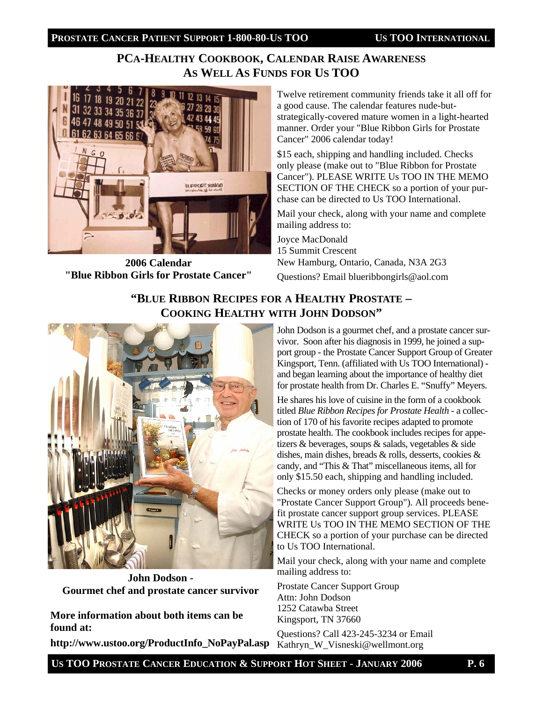## **PCA-HEALTHY COOKBOOK, CALENDAR RAISE AWARENESS AS WELL AS FUNDS FOR US TOO**



**2006 Calendar "Blue Ribbon Girls for Prostate Cancer"**

Twelve retirement community friends take it all off for a good cause. The calendar features nude-butstrategically-covered mature women in a light-hearted manner. Order your "Blue Ribbon Girls for Prostate Cancer" 2006 calendar today!

\$15 each, shipping and handling included. Checks only please (make out to "Blue Ribbon for Prostate Cancer"). PLEASE WRITE Us TOO IN THE MEMO SECTION OF THE CHECK so a portion of your purchase can be directed to Us TOO International.

Mail your check, along with your name and complete mailing address to:

Joyce MacDonald 15 Summit Crescent New Hamburg, Ontario, Canada, N3A 2G3 Questions? Email blueribbongirls@aol.com

## **"BLUE RIBBON RECIPES FOR A HEALTHY PROSTATE – COOKING HEALTHY WITH JOHN DODSON"**



**John Dodson - Gourmet chef and prostate cancer survivor** 

**More information about both items can be found at:** 

http://www.ustoo.org/ProductInfo\_NoPayPal.asp Kathryn\_W\_Visneski@wellmont.org

John Dodson is a gourmet chef, and a prostate cancer survivor. Soon after his diagnosis in 1999, he joined a support group - the Prostate Cancer Support Group of Greater Kingsport, Tenn. (affiliated with Us TOO International) and began learning about the importance of healthy diet for prostate health from Dr. Charles E. "Snuffy" Meyers.

He shares his love of cuisine in the form of a cookbook titled *Blue Ribbon Recipes for Prostate Health* - a collection of 170 of his favorite recipes adapted to promote prostate health. The cookbook includes recipes for appetizers & beverages, soups & salads, vegetables & side dishes, main dishes, breads & rolls, desserts, cookies & candy, and "This & That" miscellaneous items, all for only \$15.50 each, shipping and handling included.

Checks or money orders only please (make out to "Prostate Cancer Support Group"). All proceeds benefit prostate cancer support group services. PLEASE WRITE Us TOO IN THE MEMO SECTION OF THE CHECK so a portion of your purchase can be directed to Us TOO International.

Mail your check, along with your name and complete mailing address to:

Prostate Cancer Support Group Attn: John Dodson 1252 Catawba Street Kingsport, TN 37660

Questions? Call 423-245-3234 or Email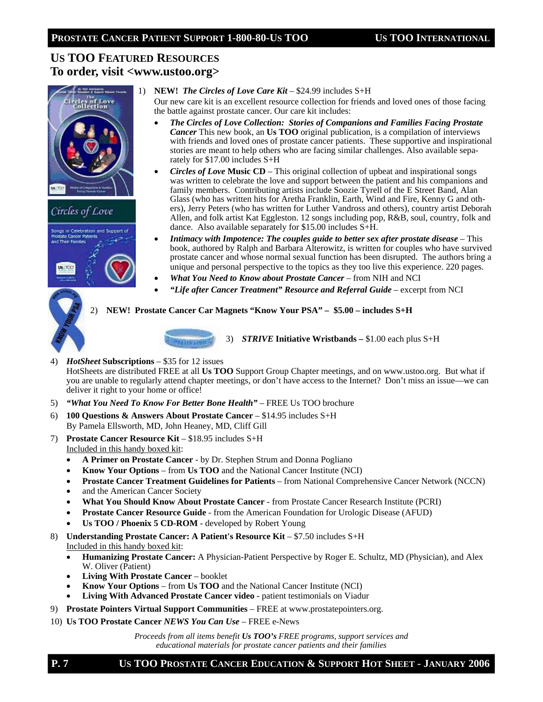## **US TOO FEATURED RESOURCES To order, visit <www.ustoo.org>**



### Circles of Love



1) **NEW!** *The Circles of Love Care Kit* – \$24.99 includes S+H

Our new care kit is an excellent resource collection for friends and loved ones of those facing the battle against prostate cancer. Our care kit includes:

- *The Circles of Love Collection: Stories of Companions and Families Facing Prostate Cancer* This new book, an **Us TOO** original publication, is a compilation of interviews with friends and loved ones of prostate cancer patients. These supportive and inspirational stories are meant to help others who are facing similar challenges. Also available separately for \$17.00 includes S+H
- *Circles of Love* **Music CD**This original collection of upbeat and inspirational songs was written to celebrate the love and support between the patient and his companions and family members. Contributing artists include Soozie Tyrell of the E Street Band, Alan Glass (who has written hits for Aretha Franklin, Earth, Wind and Fire, Kenny G and others), Jerry Peters (who has written for Luther Vandross and others), country artist Deborah Allen, and folk artist Kat Eggleston. 12 songs including pop, R&B, soul, country, folk and dance. Also available separately for \$15.00 includes S+H.
- *Intimacy with Impotence: The couples guide to better sex after prostate disease* This book, authored by Ralph and Barbara Alterowitz, is written for couples who have survived prostate cancer and whose normal sexual function has been disrupted. The authors bring a unique and personal perspective to the topics as they too live this experience. 220 pages.
- *What You Need to Know about Prostate Cancer* from NIH and NCI
- *"Life after Cancer Treatment" Resource and Referral Guide* excerpt from NCI

#### 2) **NEW! Prostate Cancer Car Magnets "Know Your PSA" – \$5.00 – includes S+H**



3) *STRIVE* **Initiative Wristbands –** \$1.00 each plus S+H

4) *HotSheet* **Subscriptions** – \$35 for 12 issues

HotSheets are distributed FREE at all **Us TOO** Support Group Chapter meetings, and on www.ustoo.org. But what if you are unable to regularly attend chapter meetings, or don't have access to the Internet? Don't miss an issue—we can deliver it right to your home or office!

- 5) *"What You Need To Know For Better Bone Health"* FREE Us TOO brochure
- 6) **100 Questions & Answers About Prostate Cancer**  \$14.95 includes S+H By Pamela Ellsworth, MD, John Heaney, MD, Cliff Gill
- 7) **Prostate Cancer Resource Kit**  \$18.95 includes S+H Included in this handy boxed kit:
	- **A Primer on Prostate Cancer**  by Dr. Stephen Strum and Donna Pogliano
	- **Know Your Options**  from **Us TOO** and the National Cancer Institute (NCI)
	- **Prostate Cancer Treatment Guidelines for Patients**  from National Comprehensive Cancer Network (NCCN)
	- and the American Cancer Society
	- **What You Should Know About Prostate Cancer**  from Prostate Cancer Research Institute (PCRI)
	- **Prostate Cancer Resource Guide**  from the American Foundation for Urologic Disease (AFUD)
	- **Us TOO / Phoenix 5 CD-ROM**  developed by Robert Young
- 8) **Understanding Prostate Cancer: A Patient's Resource Kit**  \$7.50 includes S+H Included in this handy boxed kit:
	- **Humanizing Prostate Cancer:** A Physician-Patient Perspective by Roger E. Schultz, MD (Physician), and Alex W. Oliver (Patient)
	- **Living With Prostate Cancer**  booklet
	- **Know Your Options**  from **Us TOO** and the National Cancer Institute (NCI)
	- **Living With Advanced Prostate Cancer video**  patient testimonials on Viadur
- 9) **Prostate Pointers Virtual Support Communities**  FREE at www.prostatepointers.org.
- 10) **Us TOO Prostate Cancer** *NEWS You Can Use* FREE e-News

*Proceeds from all items benefit Us TOO's FREE programs, support services and educational materials for prostate cancer patients and their families*